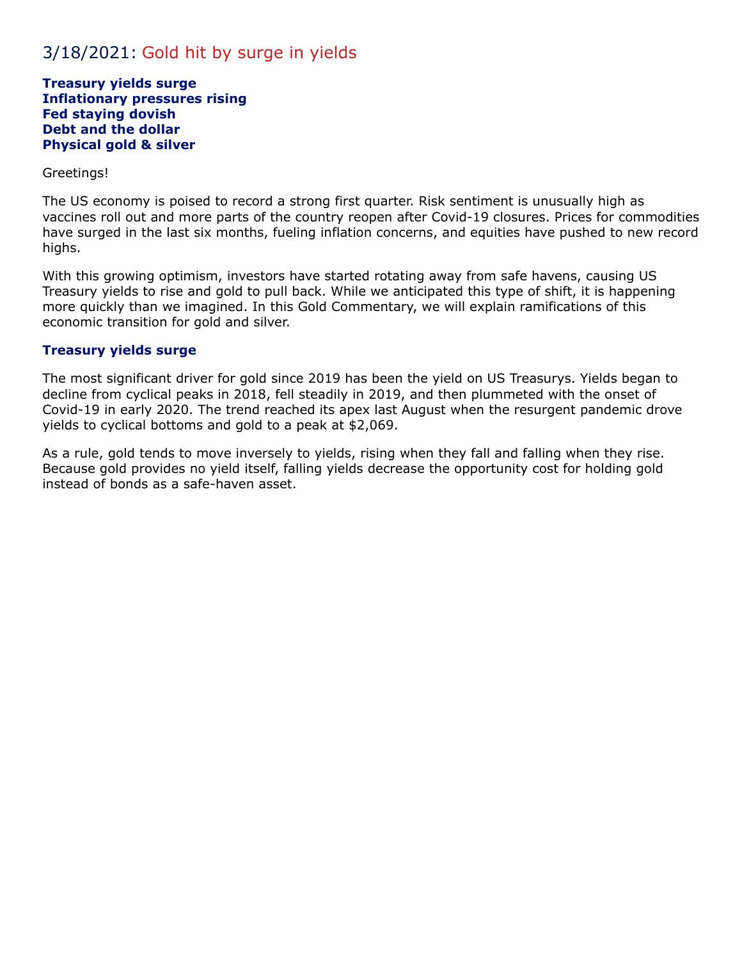# 3/18/2021: Gold hit by surge in yields

**Treasury yields surge Inflationary pressures rising Fed staying dovish Debt and the dollar Physical gold & silver**

#### Greetings!

The US economy is poised to record a strong first quarter. Risk sentiment is unusually high as vaccines roll out and more parts of the country reopen after Covid-19 closures. Prices for commodities have surged in the last six months, fueling inflation concerns, and equities have pushed to new record highs.

With this growing optimism, investors have started rotating away from safe havens, causing US Treasury yields to rise and gold to pull back. While we anticipated this type of shift, it is happening more quickly than we imagined. In this Gold Commentary, we will explain ramifications of this economic transition for gold and silver.

#### **Treasury yields surge**

The most significant driver for gold since 2019 has been the yield on US Treasurys. Yields began to decline from cyclical peaks in 2018, fell steadily in 2019, and then plummeted with the onset of Covid-19 in early 2020. The trend reached its apex last August when the resurgent pandemic drove yields to cyclical bottoms and gold to a peak at \$2,069.

As a rule, gold tends to move inversely to yields, rising when they fall and falling when they rise. Because gold provides no yield itself, falling yields decrease the opportunity cost for holding gold instead of bonds as a safe-haven asset.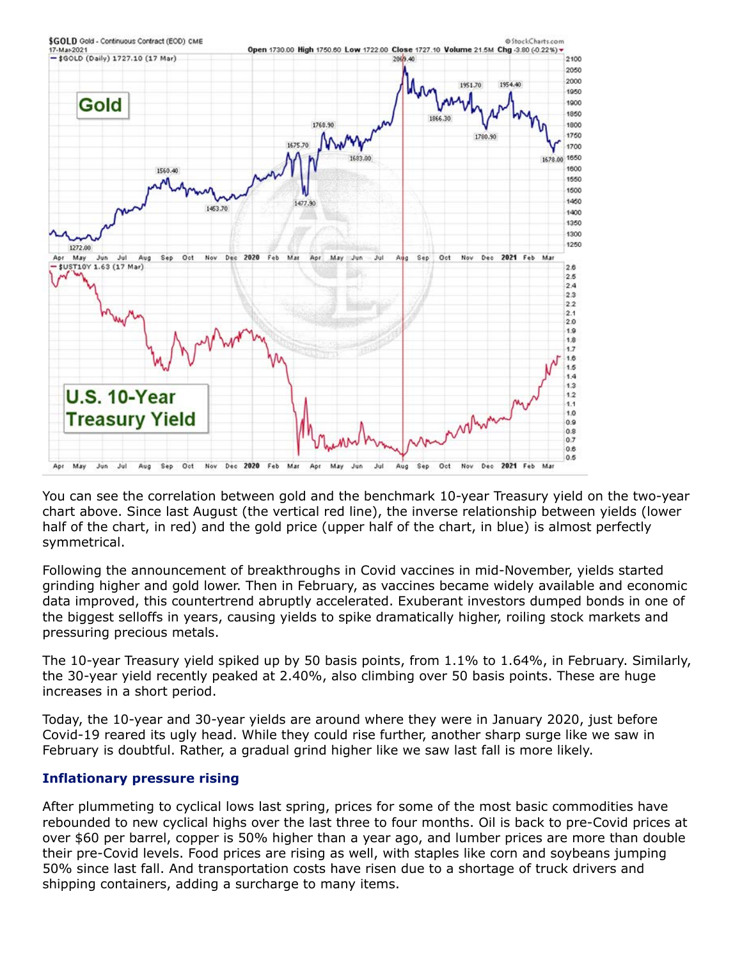

You can see the correlation between gold and the benchmark 10-year Treasury yield on the two-year chart above. Since last August (the vertical red line), the inverse relationship between yields (lower half of the chart, in red) and the gold price (upper half of the chart, in blue) is almost perfectly symmetrical.

Following the announcement of breakthroughs in Covid vaccines in mid-November, yields started grinding higher and gold lower. Then in February, as vaccines became widely available and economic data improved, this countertrend abruptly accelerated. Exuberant investors dumped bonds in one of the biggest selloffs in years, causing yields to spike dramatically higher, roiling stock markets and pressuring precious metals.

The 10-year Treasury yield spiked up by 50 basis points, from 1.1% to 1.64%, in February. Similarly, the 30-year yield recently peaked at 2.40%, also climbing over 50 basis points. These are huge increases in a short period.

Today, the 10-year and 30-year yields are around where they were in January 2020, just before Covid-19 reared its ugly head. While they could rise further, another sharp surge like we saw in February is doubtful. Rather, a gradual grind higher like we saw last fall is more likely.

## **Inflationary pressure rising**

After plummeting to cyclical lows last spring, prices for some of the most basic commodities have rebounded to new cyclical highs over the last three to four months. Oil is back to pre-Covid prices at over \$60 per barrel, copper is 50% higher than a year ago, and lumber prices are more than double their pre-Covid levels. Food prices are rising as well, with staples like corn and soybeans jumping 50% since last fall. And transportation costs have risen due to a shortage of truck drivers and shipping containers, adding a surcharge to many items.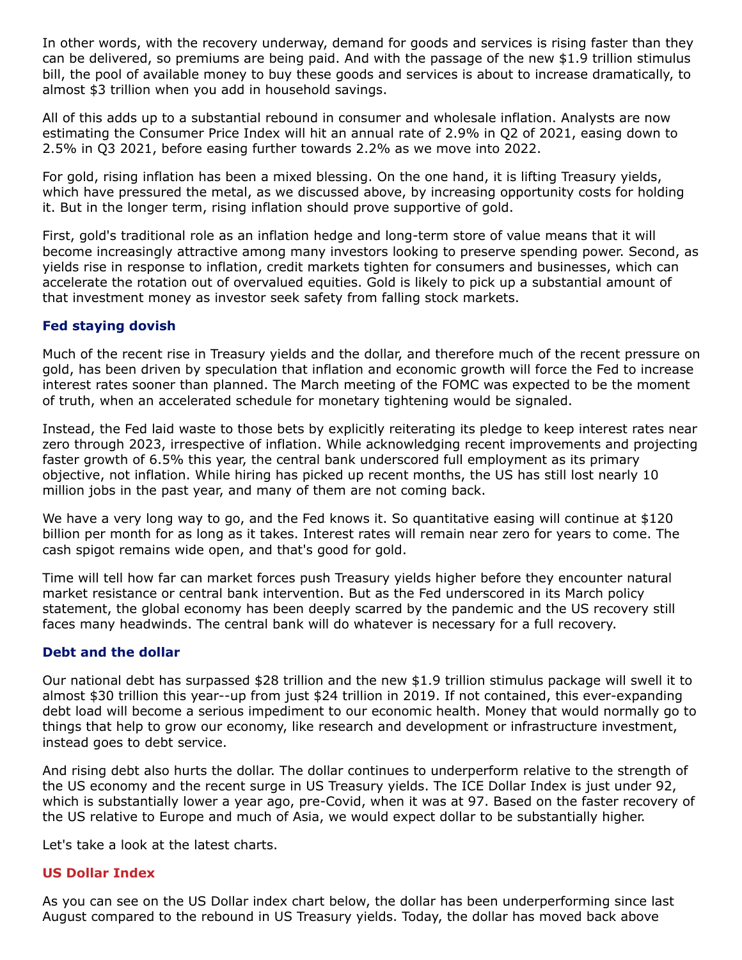In other words, with the recovery underway, demand for goods and services is rising faster than they can be delivered, so premiums are being paid. And with the passage of the new \$1.9 trillion stimulus bill, the pool of available money to buy these goods and services is about to increase dramatically, to almost \$3 trillion when you add in household savings.

All of this adds up to a substantial rebound in consumer and wholesale inflation. Analysts are now estimating the Consumer Price Index will hit an annual rate of 2.9% in Q2 of 2021, easing down to 2.5% in Q3 2021, before easing further towards 2.2% as we move into 2022.

For gold, rising inflation has been a mixed blessing. On the one hand, it is lifting Treasury yields, which have pressured the metal, as we discussed above, by increasing opportunity costs for holding it. But in the longer term, rising inflation should prove supportive of gold.

First, gold's traditional role as an inflation hedge and long-term store of value means that it will become increasingly attractive among many investors looking to preserve spending power. Second, as yields rise in response to inflation, credit markets tighten for consumers and businesses, which can accelerate the rotation out of overvalued equities. Gold is likely to pick up a substantial amount of that investment money as investor seek safety from falling stock markets.

#### **Fed staying dovish**

Much of the recent rise in Treasury yields and the dollar, and therefore much of the recent pressure on gold, has been driven by speculation that inflation and economic growth will force the Fed to increase interest rates sooner than planned. The March meeting of the FOMC was expected to be the moment of truth, when an accelerated schedule for monetary tightening would be signaled.

Instead, the Fed laid waste to those bets by explicitly reiterating its pledge to keep interest rates near zero through 2023, irrespective of inflation. While acknowledging recent improvements and projecting faster growth of 6.5% this year, the central bank underscored full employment as its primary objective, not inflation. While hiring has picked up recent months, the US has still lost nearly 10 million jobs in the past year, and many of them are not coming back.

We have a very long way to go, and the Fed knows it. So quantitative easing will continue at \$120 billion per month for as long as it takes. Interest rates will remain near zero for years to come. The cash spigot remains wide open, and that's good for gold.

Time will tell how far can market forces push Treasury yields higher before they encounter natural market resistance or central bank intervention. But as the Fed underscored in its March policy statement, the global economy has been deeply scarred by the pandemic and the US recovery still faces many headwinds. The central bank will do whatever is necessary for a full recovery.

#### **Debt and the dollar**

Our national debt has surpassed \$28 trillion and the new \$1.9 trillion stimulus package will swell it to almost \$30 trillion this year--up from just \$24 trillion in 2019. If not contained, this ever-expanding debt load will become a serious impediment to our economic health. Money that would normally go to things that help to grow our economy, like research and development or infrastructure investment, instead goes to debt service.

And rising debt also hurts the dollar. The dollar continues to underperform relative to the strength of the US economy and the recent surge in US Treasury yields. The ICE Dollar Index is just under 92, which is substantially lower a year ago, pre-Covid, when it was at 97. Based on the faster recovery of the US relative to Europe and much of Asia, we would expect dollar to be substantially higher.

Let's take a look at the latest charts.

#### **US Dollar Index**

As you can see on the US Dollar index chart below, the dollar has been underperforming since last August compared to the rebound in US Treasury yields. Today, the dollar has moved back above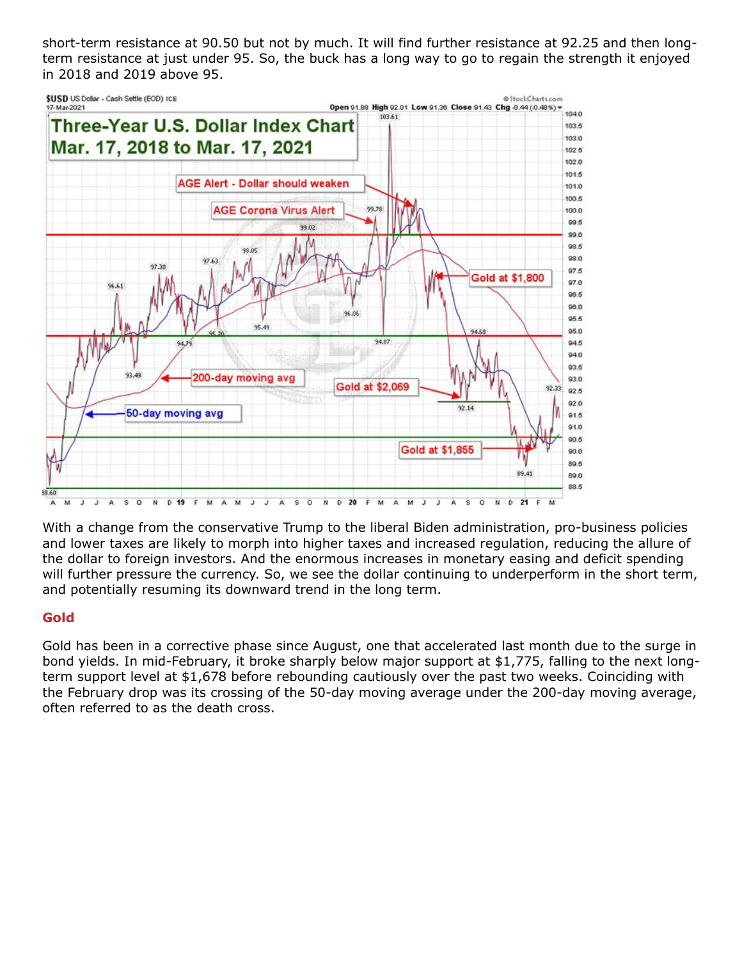short-term resistance at 90.50 but not by much. It will find further resistance at 92.25 and then longterm resistance at just under 95. So, the buck has a long way to go to regain the strength it enjoyed in 2018 and 2019 above 95.



With a change from the conservative Trump to the liberal Biden administration, pro-business policies and lower taxes are likely to morph into higher taxes and increased regulation, reducing the allure of the dollar to foreign investors. And the enormous increases in monetary easing and deficit spending will further pressure the currency. So, we see the dollar continuing to underperform in the short term, and potentially resuming its downward trend in the long term.

## **Gold**

Gold has been in a corrective phase since August, one that accelerated last month due to the surge in bond yields. In mid-February, it broke sharply below major support at \$1,775, falling to the next longterm support level at \$1,678 before rebounding cautiously over the past two weeks. Coinciding with the February drop was its crossing of the 50-day moving average under the 200-day moving average, often referred to as the death cross.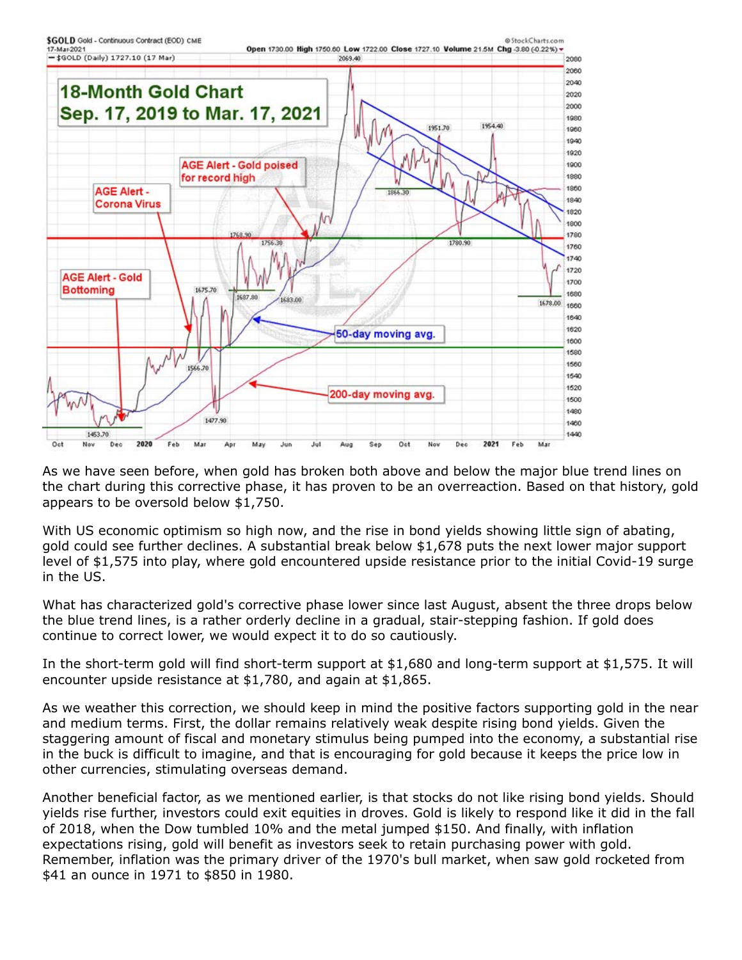

As we have seen before, when gold has broken both above and below the major blue trend lines on the chart during this corrective phase, it has proven to be an overreaction. Based on that history, gold appears to be oversold below \$1,750.

With US economic optimism so high now, and the rise in bond yields showing little sign of abating, gold could see further declines. A substantial break below \$1,678 puts the next lower major support level of \$1,575 into play, where gold encountered upside resistance prior to the initial Covid-19 surge in the US.

What has characterized gold's corrective phase lower since last August, absent the three drops below the blue trend lines, is a rather orderly decline in a gradual, stair-stepping fashion. If gold does continue to correct lower, we would expect it to do so cautiously.

In the short-term gold will find short-term support at \$1,680 and long-term support at \$1,575. It will encounter upside resistance at \$1,780, and again at \$1,865.

As we weather this correction, we should keep in mind the positive factors supporting gold in the near and medium terms. First, the dollar remains relatively weak despite rising bond yields. Given the staggering amount of fiscal and monetary stimulus being pumped into the economy, a substantial rise in the buck is difficult to imagine, and that is encouraging for gold because it keeps the price low in other currencies, stimulating overseas demand.

Another beneficial factor, as we mentioned earlier, is that stocks do not like rising bond yields. Should yields rise further, investors could exit equities in droves. Gold is likely to respond like it did in the fall of 2018, when the Dow tumbled 10% and the metal jumped \$150. And finally, with inflation expectations rising, gold will benefit as investors seek to retain purchasing power with gold. Remember, inflation was the primary driver of the 1970's bull market, when saw gold rocketed from \$41 an ounce in 1971 to \$850 in 1980.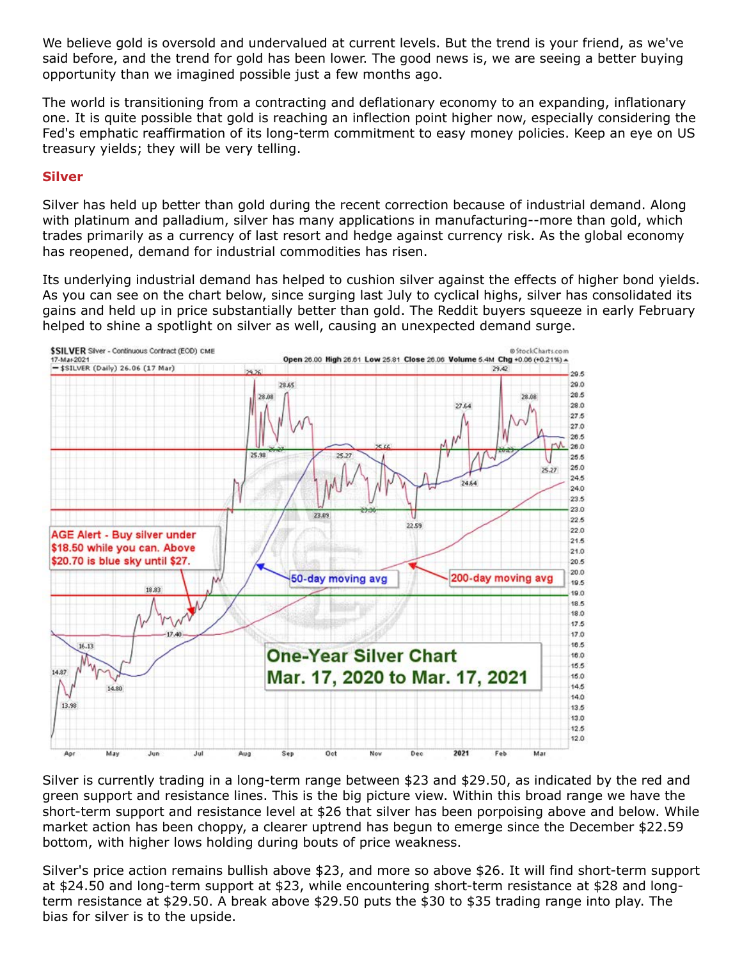We believe gold is oversold and undervalued at current levels. But the trend is your friend, as we've said before, and the trend for gold has been lower. The good news is, we are seeing a better buying opportunity than we imagined possible just a few months ago.

The world is transitioning from a contracting and deflationary economy to an expanding, inflationary one. It is quite possible that gold is reaching an inflection point higher now, especially considering the Fed's emphatic reaffirmation of its long-term commitment to easy money policies. Keep an eye on US treasury yields; they will be very telling.

## **Silver**

Silver has held up better than gold during the recent correction because of industrial demand. Along with platinum and palladium, silver has many applications in manufacturing--more than gold, which trades primarily as a currency of last resort and hedge against currency risk. As the global economy has reopened, demand for industrial commodities has risen.

Its underlying industrial demand has helped to cushion silver against the effects of higher bond yields. As you can see on the chart below, since surging last July to cyclical highs, silver has consolidated its gains and held up in price substantially better than gold. The Reddit buyers squeeze in early February helped to shine a spotlight on silver as well, causing an unexpected demand surge.



Silver is currently trading in a long-term range between \$23 and \$29.50, as indicated by the red and green support and resistance lines. This is the big picture view. Within this broad range we have the short-term support and resistance level at \$26 that silver has been porpoising above and below. While market action has been choppy, a clearer uptrend has begun to emerge since the December \$22.59 bottom, with higher lows holding during bouts of price weakness.

Silver's price action remains bullish above \$23, and more so above \$26. It will find short-term support at \$24.50 and long-term support at \$23, while encountering short-term resistance at \$28 and longterm resistance at \$29.50. A break above \$29.50 puts the \$30 to \$35 trading range into play. The bias for silver is to the upside.